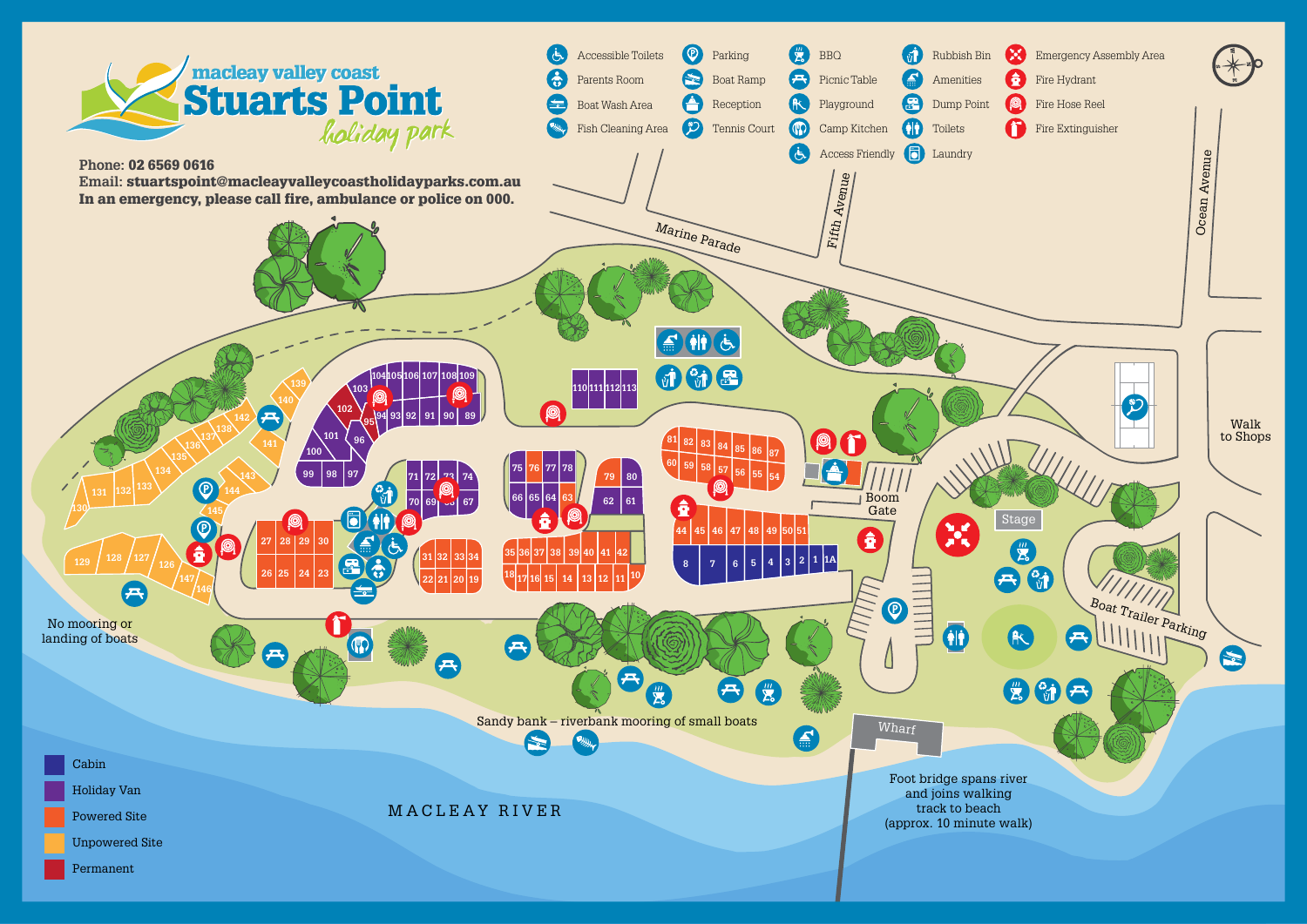